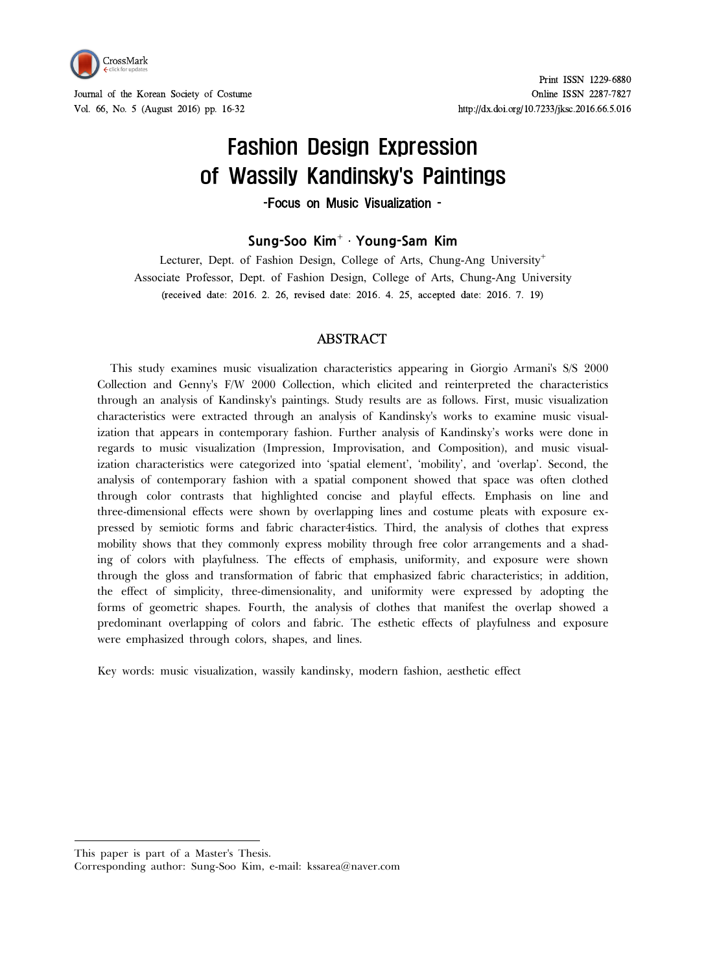

# Fashion Design Expression of Wassily Kandinsky's Paintings

-Focus on Music Visualization -

**Sung-Soo Kim**⁺ㆍ**Young-Sam Kim**

Lecturer, Dept. of Fashion Design, College of Arts, Chung-Ang University<sup>+</sup> Associate Professor, Dept. of Fashion Design, College of Arts, Chung-Ang University (received date: 2016. 2. 26, revised date: 2016. 4. 25, accepted date: 2016. 7. 19)

### **ABSTRACT**

This study examines music visualization characteristics appearing in Giorgio Armani's S/S 2000 Collection and Genny's F/W 2000 Collection, which elicited and reinterpreted the characteristics through an analysis of Kandinsky's paintings. Study results are as follows. First, music visualization characteristics were extracted through an analysis of Kandinsky's works to examine music visualization that appears in contemporary fashion. Further analysis of Kandinsky's works were done in regards to music visualization (Impression, Improvisation, and Composition), and music visualization characteristics were categorized into 'spatial element', 'mobility', and 'overlap'. Second, the analysis of contemporary fashion with a spatial component showed that space was often clothed through color contrasts that highlighted concise and playful effects. Emphasis on line and three-dimensional effects were shown by overlapping lines and costume pleats with exposure ex pressed by semiotic forms and fabric character4istics. Third, the analysis of clothes that express mobility shows that they commonly express mobility through free color arrangements and a shading of colors with playfulness. The effects of emphasis, uniformity, and exposure were shown through the gloss and transformation of fabric that emphasized fabric characteristics; in addition, the effect of simplicity, three-dimensionality, and uniformity were expressed by adopting the forms of geometric shapes. Fourth, the analysis of clothes that manifest the overlap showed a predominant overlapping of colors and fabric. The esthetic effects of playfulness and exposure were emphasized through colors, s

Key words: music visualization, wassily kandinsky, modern fashion, aesthetic effect

This paper is part of a Master's Thesis.

Corresponding author: Sung-Soo Kim, e-mail: kssarea@naver.com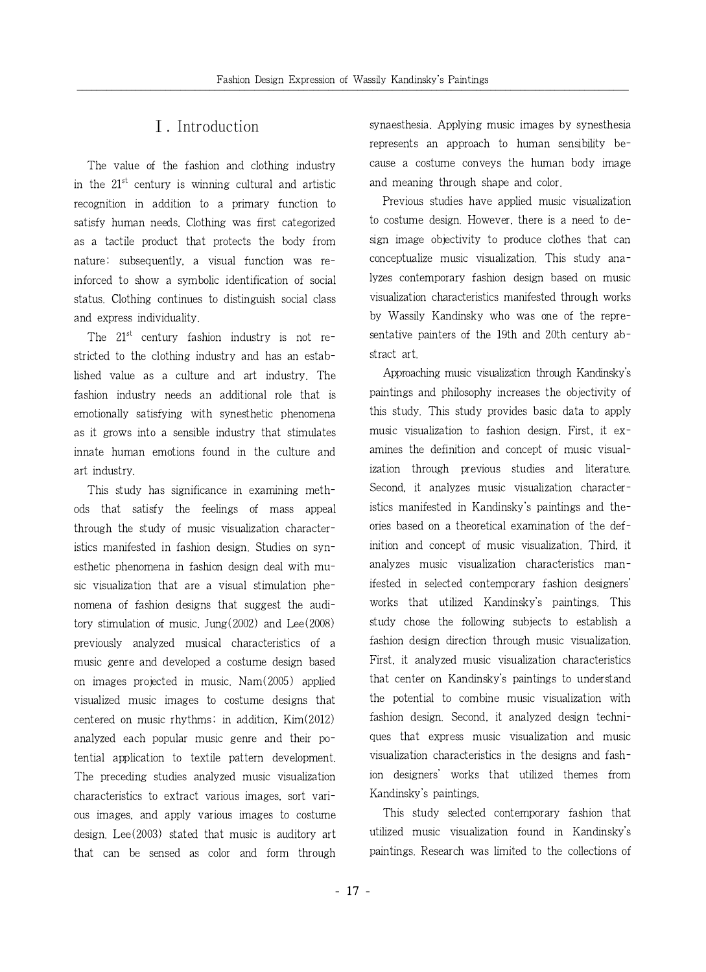# Ⅰ. Introduction

The value of the fashion and clothing industry in the  $21<sup>st</sup>$  century is winning cultural and artistic recognition in addition to a primary function to satisfy human needs. Clothing was first categorized as a tactile product that protects the body from nature; subsequently, a visual function was reinforced to show a symbolic identification of social status. Clothing continues to distinguish social class and express individuality.

The  $21^{st}$  century fashion industry is not restricted to the clothing industry and has an established value as a culture and art industry. The fashion industry needs an additional role that is emotionally satisfying with synesthetic phenomena as it grows into a sensible industry that stimulates innate human emotions found in the culture and art industry.

This study has significance in examining methods that satisfy the feelings of mass appeal through the study of music visualization characteristics manifested in fashion design. Studies on synesthetic phenomena in fashion design deal with music visualization that are a visual stimulation phenomena of fashion designs that suggest the auditory stimulation of music. Jung(2002) and Lee(2008) previously analyzed musical characteristics of a music genre and developed a costume design based on images projected in music. Nam(2005) applied visualized music images to costume designs that centered on music rhythms; in addition, Kim(2012) analyzed each popular music genre and their potential application to textile pattern development. The preceding studies analyzed music visualization characteristics to extract various images, sort various images, and apply various images to costume design. Lee(2003) stated that music is auditory art that can be sensed as color and form through synaesthesia. Applying music images by synesthesia represents an approach to human sensibility because a costume conveys the human body image and meaning through shape and color.

Previous studies have applied music visualization to costume design. However, there is a need to design image objectivity to produce clothes that can conceptualize music visualization. This study analyzes contemporary fashion design based on music visualization characteristics manifested through works by Wassily Kandinsky who was one of the representative painters of the 19th and 20th century abstract art.

Approaching music visualization through Kandinsky's paintings and philosophy increases the objectivity of this study. This study provides basic data to apply music visualization to fashion design. First, it examines the definition and concept of music visualization through previous studies and literature. Second, it analyzes music visualization characteristics manifested in Kandinsky's paintings and theories based on a theoretical examination of the definition and concept of music visualization. Third, it analyzes music visualization characteristics manifested in selected contemporary fashion designers' works that utilized Kandinsky's paintings. This study chose the following subjects to establish a fashion design direction through music visualization. First, it analyzed music visualization characteristics that center on Kandinsky's paintings to understand the potential to combine music visualization with fashion design. Second, it analyzed design techniques that express music visualization and music visualization characteristics in the designs and fashion designers' works that utilized themes from Kandinsky's paintings.

This study selected contemporary fashion that utilized music visualization found in Kandinsky's paintings. Research was limited to the collections of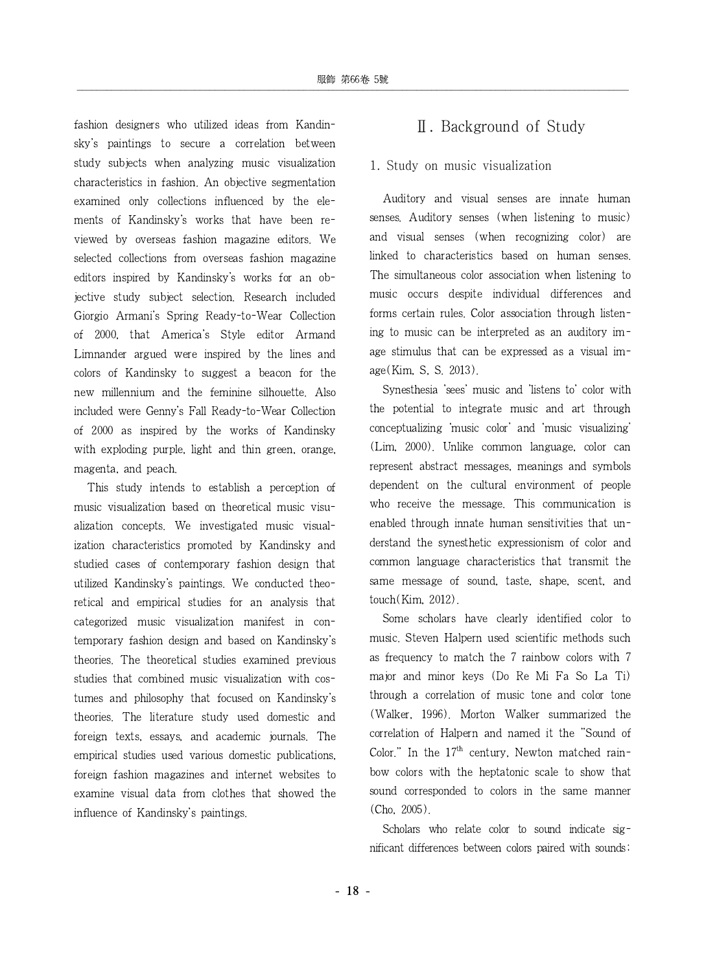fashion designers who utilized ideas from Kandinsky's paintings to secure a correlation between study subjects when analyzing music visualization characteristics in fashion. An objective segmentation examined only collections influenced by the elements of Kandinsky's works that have been reviewed by overseas fashion magazine editors. We selected collections from overseas fashion magazine editors inspired by Kandinsky's works for an objective study subject selection. Research included Giorgio Armani's Spring Ready-to-Wear Collection of 2000, that America's Style editor Armand Limnander argued were inspired by the lines and colors of Kandinsky to suggest a beacon for the new millennium and the feminine silhouette. Also included were Genny's Fall Ready-to-Wear Collection of 2000 as inspired by the works of Kandinsky with exploding purple, light and thin green, orange, magenta, and peach.

This study intends to establish a perception of music visualization based on theoretical music visualization concepts. We investigated music visualization characteristics promoted by Kandinsky and studied cases of contemporary fashion design that utilized Kandinsky's paintings. We conducted theoretical and empirical studies for an analysis that categorized music visualization manifest in contemporary fashion design and based on Kandinsky's theories. The theoretical studies examined previous studies that combined music visualization with costumes and philosophy that focused on Kandinsky's theories. The literature study used domestic and foreign texts, essays, and academic journals. The empirical studies used various domestic publications, foreign fashion magazines and internet websites to examine visual data from clothes that showed the influence of Kandinsky's paintings.

# Ⅱ. Background of Study

### 1. Study on music visualization

Auditory and visual senses are innate human senses. Auditory senses (when listening to music) and visual senses (when recognizing color) are linked to characteristics based on human senses. The simultaneous color association when listening to music occurs despite individual differences and forms certain rules. Color association through listening to music can be interpreted as an auditory image stimulus that can be expressed as a visual image(Kim, S, S. 2013).

Synesthesia 'sees' music and 'listens to' color with the potential to integrate music and art through conceptualizing 'music color' and 'music visualizing' (Lim, 2000). Unlike common language, color can represent abstract messages, meanings and symbols dependent on the cultural environment of people who receive the message. This communication is enabled through innate human sensitivities that understand the synesthetic expressionism of color and common language characteristics that transmit the same message of sound, taste, shape, scent, and touch(Kim, 2012).

Some scholars have clearly identified color to music. Steven Halpern used scientific methods such as frequency to match the 7 rainbow colors with 7 major and minor keys (Do Re Mi Fa So La Ti) through a correlation of music tone and color tone (Walker, 1996). Morton Walker summarized the correlation of Halpern and named it the "Sound of Color." In the  $17<sup>th</sup>$  century, Newton matched rainbow colors with the heptatonic scale to show that sound corresponded to colors in the same manner (Cho, 2005).

Scholars who relate color to sound indicate significant differences between colors paired with sounds;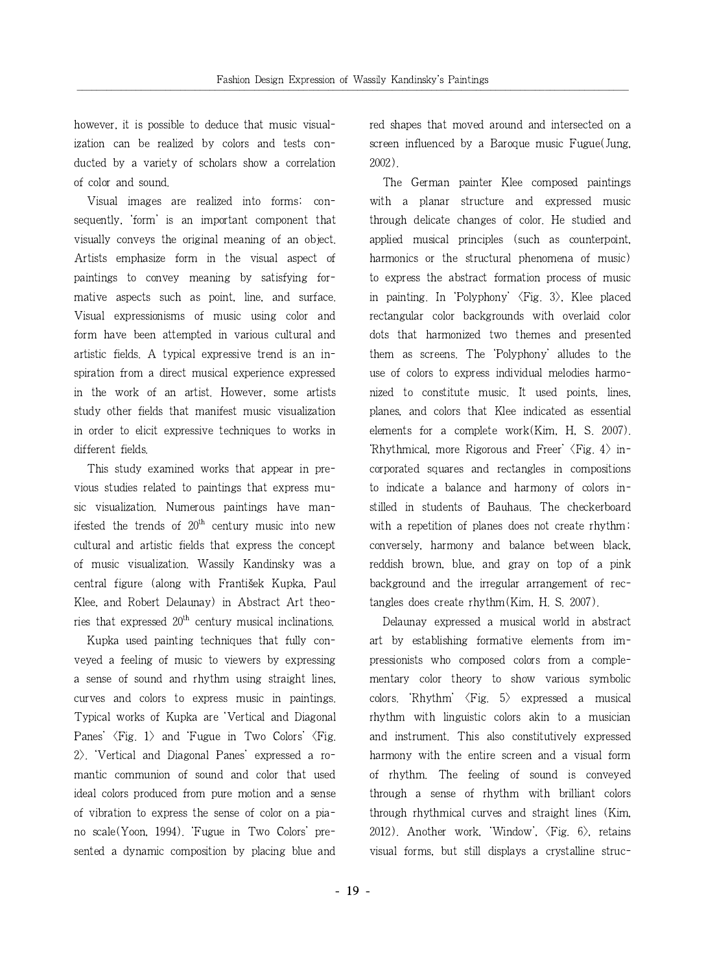however, it is possible to deduce that music visualization can be realized by colors and tests conducted by a variety of scholars show a correlation of color and sound.

Visual images are realized into forms; consequently, 'form' is an important component that visually conveys the original meaning of an object. Artists emphasize form in the visual aspect of paintings to convey meaning by satisfying formative aspects such as point, line, and surface. Visual expressionisms of music using color and form have been attempted in various cultural and artistic fields. A typical expressive trend is an inspiration from a direct musical experience expressed in the work of an artist. However, some artists study other fields that manifest music visualization in order to elicit expressive techniques to works in different fields.

This study examined works that appear in previous studies related to paintings that express music visualization. Numerous paintings have manifested the trends of  $20<sup>th</sup>$  century music into new cultural and artistic fields that express the concept of music visualization. Wassily Kandinsky was a central figure (along with František Kupka, Paul Klee, and Robert Delaunay) in Abstract Art theories that expressed  $20<sup>th</sup>$  century musical inclinations.

Kupka used painting techniques that fully conveyed a feeling of music to viewers by expressing a sense of sound and rhythm using straight lines, curves and colors to express music in paintings. Typical works of Kupka are 'Vertical and Diagonal Panes'  $\langle$ Fig. 1 $\rangle$  and 'Fugue in Two Colors'  $\langle$ Fig. 2>. 'Vertical and Diagonal Panes' expressed a romantic communion of sound and color that used ideal colors produced from pure motion and a sense of vibration to express the sense of color on a piano scale(Yoon, 1994). 'Fugue in Two Colors' presented a dynamic composition by placing blue and red shapes that moved around and intersected on a screen influenced by a Baroque music Fugue(Jung, 2002).

The German painter Klee composed paintings with a planar structure and expressed music through delicate changes of color. He studied and applied musical principles (such as counterpoint, harmonics or the structural phenomena of music) to express the abstract formation process of music in painting. In 'Polyphony'  $\langle$ Fig. 3 $\rangle$ , Klee placed rectangular color backgrounds with overlaid color dots that harmonized two themes and presented them as screens. The 'Polyphony' alludes to the use of colors to express individual melodies harmonized to constitute music. It used points, lines, planes, and colors that Klee indicated as essential elements for a complete work(Kim, H, S. 2007). 'Rhythmical, more Rigorous and Freer'  $\langle$ Fig. 4 $\rangle$  incorporated squares and rectangles in compositions to indicate a balance and harmony of colors instilled in students of Bauhaus. The checkerboard with a repetition of planes does not create rhythm; conversely, harmony and balance between black, reddish brown, blue, and gray on top of a pink background and the irregular arrangement of rectangles does create rhythm(Kim, H. S. 2007).

Delaunay expressed a musical world in abstract art by establishing formative elements from impressionists who composed colors from a complementary color theory to show various symbolic colors. 'Rhythm'  $\langle$ Fig. 5 $\rangle$  expressed a musical rhythm with linguistic colors akin to a musician and instrument. This also constitutively expressed harmony with the entire screen and a visual form of rhythm. The feeling of sound is conveyed through a sense of rhythm with brilliant colors through rhythmical curves and straight lines (Kim, 2012). Another work, 'Window',  $\langle$ Fig. 6 $\rangle$ , retains visual forms, but still displays a crystalline struc-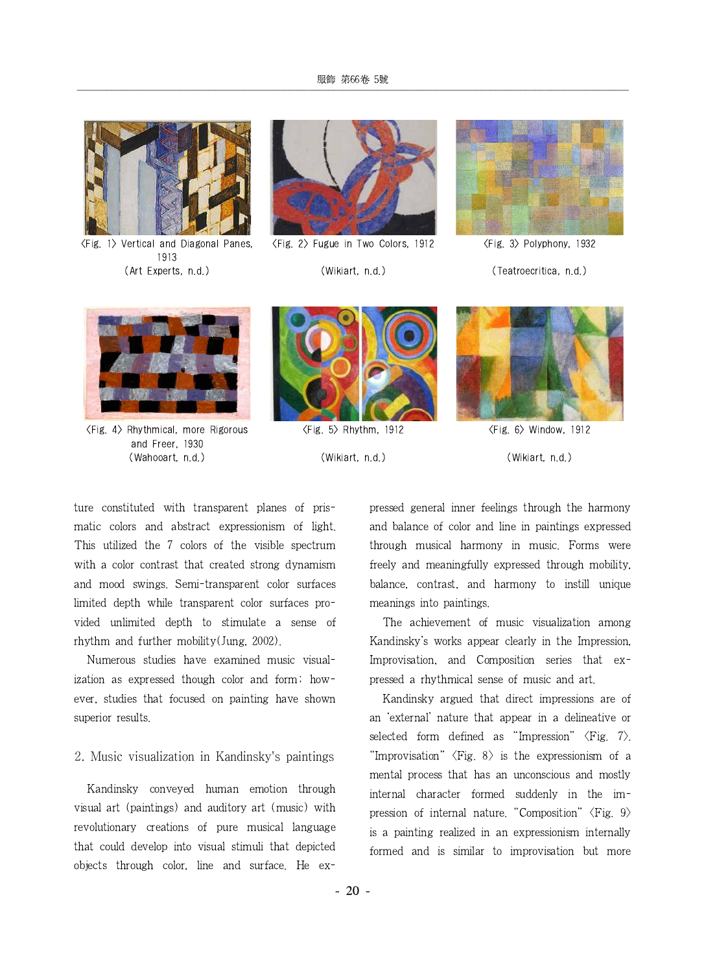

<Fig. 1> Vertical and Diagonal Panes, 1913 (Art Experts, n.d.)



<Fig. 2> Fugue in Two Colors, 1912

(Wikiart, n.d.)



<Fig. 3> Polyphony, 1932

(Teatroecritica, n.d.)



<Fig. 4> Rhythmical, more Rigorous and Freer, 1930 (Wahooart, n.d.)



<Fig. 5> Rhythm, 1912 (Wikiart, n.d.)



<Fig. 6> Window, 1912 (Wikiart, n.d.)

ture constituted with transparent planes of prismatic colors and abstract expressionism of light. This utilized the 7 colors of the visible spectrum with a color contrast that created strong dynamism and mood swings. Semi-transparent color surfaces limited depth while transparent color surfaces provided unlimited depth to stimulate a sense of rhythm and further mobility(Jung, 2002).

Numerous studies have examined music visualization as expressed though color and form; however, studies that focused on painting have shown superior results.

### 2. Music visualization in Kandinsky's paintings

Kandinsky conveyed human emotion through visual art (paintings) and auditory art (music) with revolutionary creations of pure musical language that could develop into visual stimuli that depicted objects through color, line and surface. He expressed general inner feelings through the harmony and balance of color and line in paintings expressed through musical harmony in music. Forms were freely and meaningfully expressed through mobility, balance, contrast, and harmony to instill unique meanings into paintings.

The achievement of music visualization among Kandinsky's works appear clearly in the Impression, Improvisation, and Composition series that expressed a rhythmical sense of music and art.

Kandinsky argued that direct impressions are of an 'external' nature that appear in a delineative or selected form defined as "Impression"  $\langle Fig. 7 \rangle$ . "Improvisation"  $\langle$ Fig. 8 $\rangle$  is the expressionism of a mental process that has an unconscious and mostly internal character formed suddenly in the impression of internal nature. "Composition"  $\langle$ Fig. 9 $\rangle$ is a painting realized in an expressionism internally formed and is similar to improvisation but more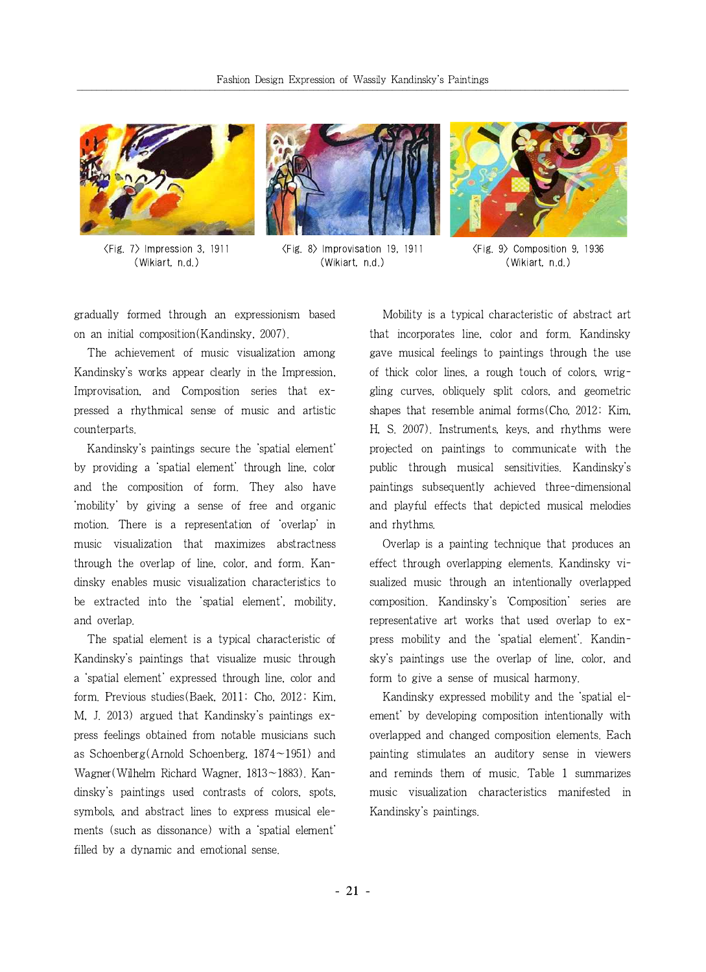

<Fig. 7> Impression 3, 1911 (Wikiart, n.d.)



<Fig. 8> Improvisation 19,1911 (Wikiart, n.d.)



<Fig. 9> Composition 9, 1936 (Wikiart, n.d.)

gradually formed through an expressionism based on an initial composition(Kandinsky, 2007).

The achievement of music visualization among Kandinsky's works appear clearly in the Impression, Improvisation, and Composition series that expressed a rhythmical sense of music and artistic counterparts.

Kandinsky's paintings secure the 'spatial element' by providing a 'spatial element' through line, color and the composition of form. They also have 'mobility' by giving a sense of free and organic motion. There is a representation of'overlap' in music visualization that maximizes abstractness through the overlap of line, color, and form. Kandinsky enables music visualization characteristics to be extracted into the 'spatial element', mobility, and overlap.

The spatial element is a typical characteristic of Kandinsky's paintings that visualize music through a 'spatial element' expressed through line, color and form. Previous studies(Baek, 2011; Cho, 2012; Kim, M, J. 2013) argued that Kandinsky's paintings express feelings obtained from notable musicians such as Schoenberg(Arnold Schoenberg,  $1874 \sim 1951$ ) and Wagner(Wilhelm Richard Wagner, 1813~1883). Kandinsky's paintings used contrasts of colors, spots, symbols, and abstract lines to express musical elements (such as dissonance) with a 'spatial element' filled by a dynamic and emotional sense.

Mobility is a typical characteristic of abstract art that incorporates line, color and form. Kandinsky gave musical feelings to paintings through the use of thick color lines, a rough touch of colors, wriggling curves, obliquely split colors, and geometric shapes that resemble animal forms(Cho, 2012; Kim, H, S. 2007). Instruments, keys, and rhythms were projected on paintings to communicate with the public through musical sensitivities. Kandinsky's paintings subsequently achieved three-dimensional and playful effects that depicted musical melodies and rhythms.

Overlap is a painting technique that produces an effect through overlapping elements. Kandinsky visualized music through an intentionally overlapped composition. Kandinsky's 'Composition' series are representative art works that used overlap to express mobility and the 'spatial element'. Kandinsky's paintings use the overlap of line, color, and form to give a sense of musical harmony.

Kandinsky expressed mobility and the 'spatial element' by developing composition intentionally with overlapped and changed composition elements. Each painting stimulates an auditory sense in viewers and reminds them of music. Table 1 summarizes music visualization characteristics manifested in Kandinsky's paintings.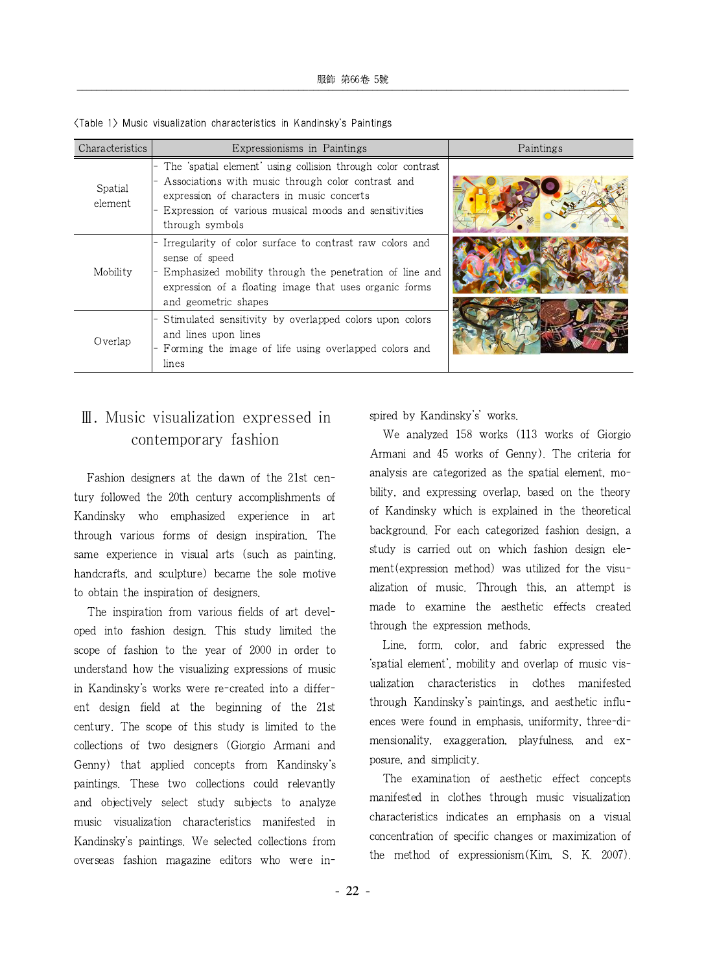| Characteristics    | Expressionisms in Paintings                                                                                                                                                                                                                  | Paintings |
|--------------------|----------------------------------------------------------------------------------------------------------------------------------------------------------------------------------------------------------------------------------------------|-----------|
| Spatial<br>element | The 'spatial element' using collision through color contrast<br>Associations with music through color contrast and<br>expression of characters in music concerts<br>Expression of various musical moods and sensitivities<br>through symbols |           |
| Mobility           | Irregularity of color surface to contrast raw colors and<br>sense of speed<br>- Emphasized mobility through the penetration of line and<br>expression of a floating image that uses organic forms<br>and geometric shapes                    |           |
| Overlap            | Stimulated sensitivity by overlapped colors upon colors<br>and lines upon lines<br>- Forming the image of life using overlapped colors and<br>lines                                                                                          |           |

<Table 1> Music visualization characteristics in Kandinsky's Paintings

# Ⅲ. Music visualization expressed in contemporary fashion

Fashion designers at the dawn of the 21st century followed the 20th century accomplishments of Kandinsky who emphasized experience in art through various forms of design inspiration. The same experience in visual arts (such as painting, handcrafts, and sculpture) became the sole motive to obtain the inspiration of designers.

The inspiration from various fields of art developed into fashion design. This study limited the scope of fashion to the year of 2000 in order to understand how the visualizing expressions of music in Kandinsky's works were re-created into a different design field at the beginning of the 21st century. The scope of this study is limited to the collections of two designers (Giorgio Armani and Genny) that applied concepts from Kandinsky's paintings. These two collections could relevantly and objectively select study subjects to analyze music visualization characteristics manifested in Kandinsky's paintings. We selected collections from overseas fashion magazine editors who were inspired by Kandinsky's' works.

We analyzed 158 works (113 works of Giorgio Armani and 45 works of Genny). The criteria for analysis are categorized as the spatial element, mobility, and expressing overlap, based on the theory of Kandinsky which is explained in the theoretical background. For each categorized fashion design, a study is carried out on which fashion design element(expression method) was utilized for the visualization of music. Through this, an attempt is made to examine the aesthetic effects created through the expression methods.

Line, form, color, and fabric expressed the 'spatial element', mobility and overlap of music visualization characteristics in clothes manifested through Kandinsky's paintings, and aesthetic influences were found in emphasis, uniformity, three-dimensionality, exaggeration, playfulness, and exposure, and simplicity.

The examination of aesthetic effect concepts manifested in clothes through music visualization characteristics indicates an emphasis on a visual concentration of specific changes or maximization of the method of expressionism(Kim, S, K. 2007).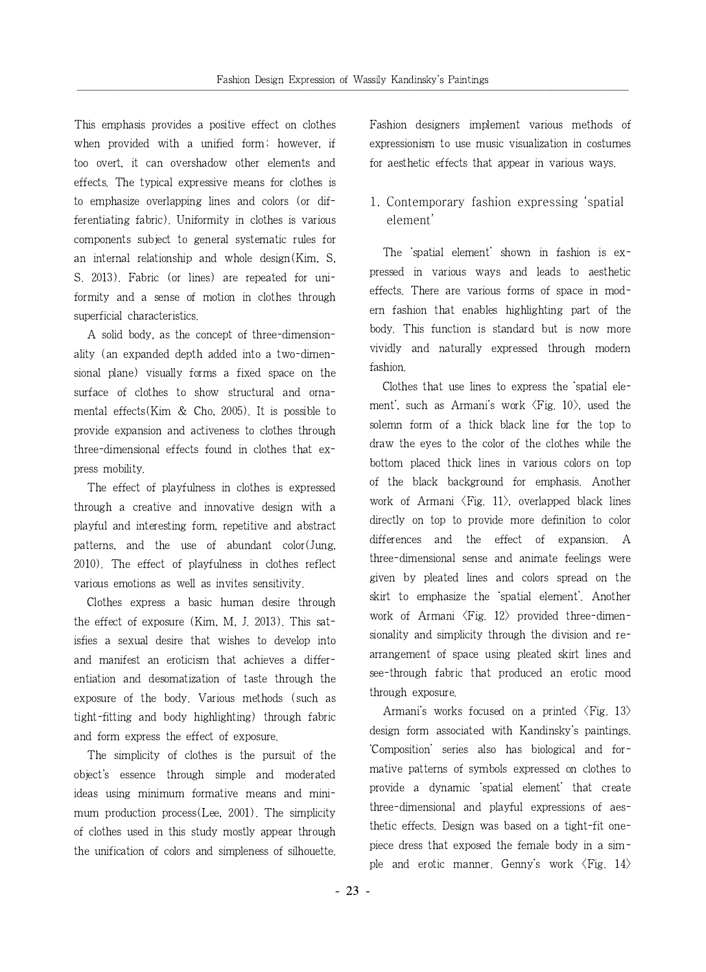This emphasis provides a positive effect on clothes when provided with a unified form; however, if too overt, it can overshadow other elements and effects. The typical expressive means for clothes is to emphasize overlapping lines and colors (or differentiating fabric). Uniformity in clothes is various components subject to general systematic rules for an internal relationship and whole design(Kim, S, S. 2013). Fabric (or lines) are repeated for uniformity and a sense of motion in clothes through superficial characteristics.

A solid body, as the concept of three-dimensionality (an expanded depth added into a two-dimensional plane) visually forms a fixed space on the surface of clothes to show structural and ornamental effects(Kim & Cho, 2005). It is possible to provide expansion and activeness to clothes through three-dimensional effects found in clothes that express mobility.

The effect of playfulness in clothes is expressed through a creative and innovative design with a playful and interesting form, repetitive and abstract patterns, and the use of abundant color(Jung, 2010). The effect of playfulness in clothes reflect various emotions as well as invites sensitivity.

Clothes express a basic human desire through the effect of exposure (Kim, M, J. 2013). This satisfies a sexual desire that wishes to develop into and manifest an eroticism that achieves a differentiation and desomatization of taste through the exposure of the body. Various methods (such as tight-fitting and body highlighting) through fabric and form express the effect of exposure.

The simplicity of clothes is the pursuit of the object's essence through simple and moderated ideas using minimum formative means and minimum production process(Lee, 2001). The simplicity of clothes used in this study mostly appear through the unification of colors and simpleness of silhouette. Fashion designers implement various methods of expressionism to use music visualization in costumes for aesthetic effects that appear in various ways.

# 1. Contemporary fashion expressing 'spatial element'

The 'spatial element' shown in fashion is expressed in various ways and leads to aesthetic effects. There are various forms of space in modern fashion that enables highlighting part of the body. This function is standard but is now more vividly and naturally expressed through modern fashion.

Clothes that use lines to express the 'spatial element', such as Armani's work  $\langle$ Fig. 10 $\rangle$ , used the solemn form of a thick black line for the top to draw the eyes to the color of the clothes while the bottom placed thick lines in various colors on top of the black background for emphasis. Another work of Armani  $\langle$ Fig. 11 $\rangle$ , overlapped black lines directly on top to provide more definition to color differences and the effect of expansion. A three-dimensional sense and animate feelings were given by pleated lines and colors spread on the skirt to emphasize the 'spatial element'. Another work of Armani  $\langle$ Fig. 12 $\rangle$  provided three-dimensionality and simplicity through the division and rearrangement of space using pleated skirt lines and see-through fabric that produced an erotic mood through exposure.

Armani's works focused on a printed  $\langle$ Fig. 13 $\rangle$ design form associated with Kandinsky's paintings. 'Composition' series also has biological and formative patterns of symbols expressed on clothes to provide a dynamic 'spatial element' that create three-dimensional and playful expressions of aesthetic effects. Design was based on a tight-fit onepiece dress that exposed the female body in a simple and erotic manner. Genny's work  $\langle$ Fig. 14 $\rangle$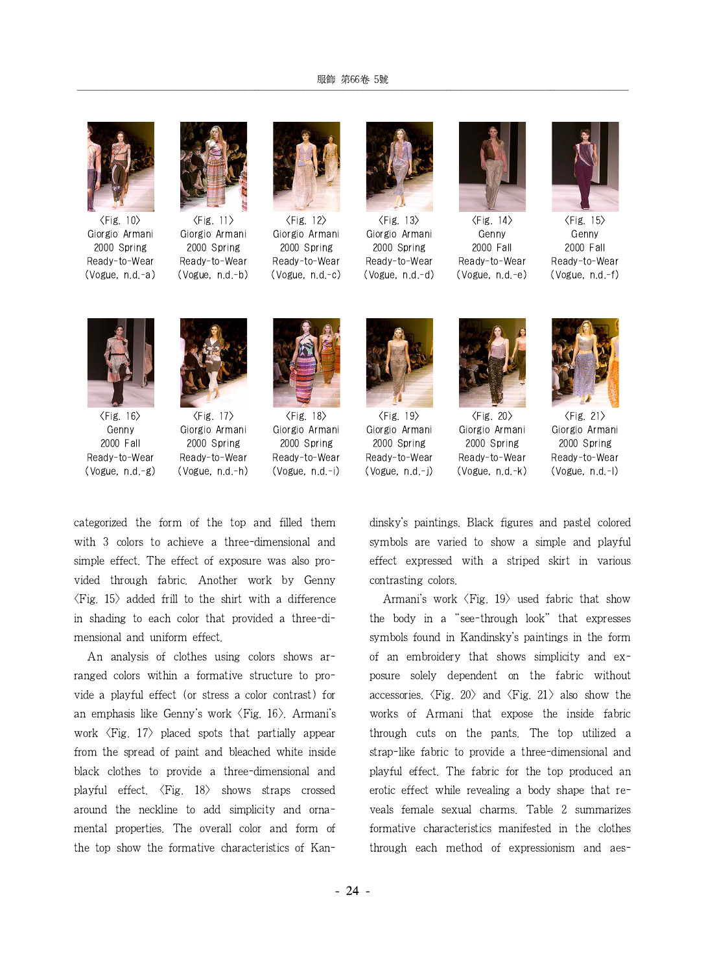#### 服飾 第66卷 5號

<u> Andreas Andreas Andreas Andreas Andreas Andreas Andreas Andreas Andreas Andreas Andreas Andreas Andreas Andr</u>



 $\langle$ Fig. 10 $\rangle$ Giorgio Armani 2000 Spring Ready-to-Wear (Vogue, n.d.-a)



 $\langle$ Fig. 11 $\rangle$ Giorgio Armani 2000 Spring Ready-to-Wear (Vogue, n.d.-b)



 $\langle$ Fig. 12 $\rangle$ Giorgio Armani 2000 Spring Ready-to-Wear (Vogue, n.d.-c)



Giorgio Armani 2000 Spring Ready-to-Wear (Vogue, n.d.-d)



 $\langle$ Fig. 14 $\rangle$ Genny 2000 Fall Ready-to-Wear (Vogue, n.d.-e)



 $\langle$ Fig. 15 $\rangle$ Genny 2000 Fall Ready-to-Wear (Vogue, n.d.-f)



 $\langle$ Fig. 16 $\rangle$ Genny 2000 Fall Ready-to-Wear (Vogue, n.d.-g)



 $\langle$ Fig. 17 $\rangle$ Giorgio Armani 2000 Spring Ready-to-Wear (Vogue, n.d.-h)



 $\langle$ Fig. 18 $\rangle$ Giorgio Armani 2000 Spring Ready-to-Wear (Vogue, n.d.-i)



 $\langle$ Fig. 19 $\rangle$ Giorgio Armani 2000 Spring Ready-to-Wear (Vogue, n.d.-j)



<Fig. 20> Giorgio Armani 2000 Spring Ready-to-Wear (Vogue, n.d.-k)



 $\langle$ Fig. 21 $\rangle$ Giorgio Armani 2000 Spring Ready-to-Wear (Vogue, n.d.-l)

categorized the form of the top and filled them with 3 colors to achieve a three-dimensional and simple effect. The effect of exposure was also provided through fabric. Another work by Genny  $\langle$ Fig. 15 $\rangle$  added frill to the shirt with a difference in shading to each color that provided a three-dimensional and uniform effect.

An analysis of clothes using colors shows arranged colors within a formative structure to provide a playful effect (or stress a color contrast) for an emphasis like Genny's work <Fig. 16>. Armani's work  $\langle$ Fig. 17 $\rangle$  placed spots that partially appear from the spread of paint and bleached white inside black clothes to provide a three-dimensional and playful effect.  $\langle$ Fig. 18 $\rangle$  shows straps crossed around the neckline to add simplicity and ornamental properties. The overall color and form of the top show the formative characteristics of Kandinsky's paintings. Black figures and pastel colored symbols are varied to show a simple and playful effect expressed with a striped skirt in various contrasting colors.

Armani's work  $\langle$ Fig. 19 $\rangle$  used fabric that show the body in a "see-through look" that expresses symbols found in Kandinsky's paintings in the form of an embroidery that shows simplicity and exposure solely dependent on the fabric without accessories.  $\langle$ Fig. 20 $\rangle$  and  $\langle$ Fig. 21 $\rangle$  also show the works of Armani that expose the inside fabric through cuts on the pants. The top utilized a strap-like fabric to provide a three-dimensional and playful effect. The fabric for the top produced an erotic effect while revealing a body shape that reveals female sexual charms. Table 2 summarizes formative characteristics manifested in the clothes through each method of expressionism and aes-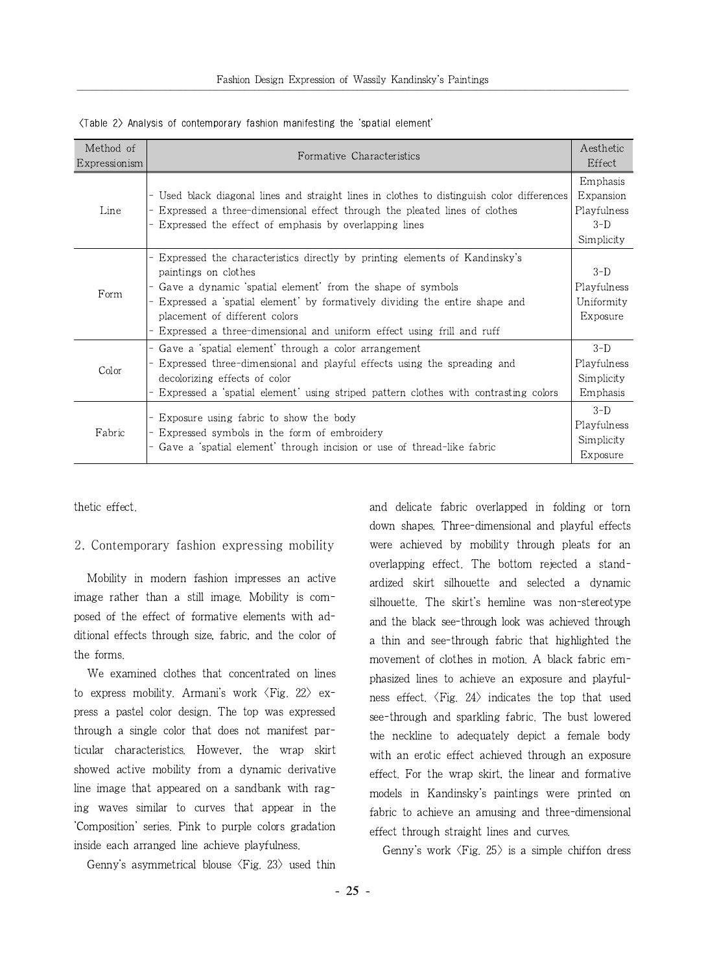| Method of<br>Expressionism | Formative Characteristics                                                                                                                                                                                                                                                                                                                              | Aesthetic<br>Effect                                         |
|----------------------------|--------------------------------------------------------------------------------------------------------------------------------------------------------------------------------------------------------------------------------------------------------------------------------------------------------------------------------------------------------|-------------------------------------------------------------|
| Line                       | Used black diagonal lines and straight lines in clothes to distinguish color differences<br>- Expressed a three-dimensional effect through the pleated lines of clothes<br>Expressed the effect of emphasis by overlapping lines                                                                                                                       | Emphasis<br>Expansion<br>Playfulness<br>$3-D$<br>Simplicity |
| Form                       | Expressed the characteristics directly by printing elements of Kandinsky's<br>paintings on clothes<br>- Gave a dynamic spatial element from the shape of symbols<br>Expressed a spatial element by formatively dividing the entire shape and<br>placement of different colors<br>Expressed a three-dimensional and uniform effect using frill and ruff | $3-D$<br>Playfulness<br>Uniformity<br>Exposure              |
| Color                      | - Gave a 'spatial element' through a color arrangement<br>Expressed three-dimensional and playful effects using the spreading and<br>decolorizing effects of color<br>Expressed a 'spatial element' using striped pattern clothes with contrasting colors                                                                                              | $3-D$<br>Playfulness<br>Simplicity<br>Emphasis              |
| Fabric                     | Exposure using fabric to show the body<br>- Expressed symbols in the form of embroidery<br>- Gave a 'spatial element' through incision or use of thread-like fabric                                                                                                                                                                                    | $3-D$<br>Playfulness<br>Simplicity<br>Exposure              |

 $\langle$ Table 2 $\rangle$  Analysis of contemporary fashion manifesting the 'spatial element'

thetic effect.

#### 2. Contemporary fashion expressing mobility

Mobility in modern fashion impresses an active image rather than a still image. Mobility is composed of the effect of formative elements with additional effects through size, fabric, and the color of the forms.

We examined clothes that concentrated on lines to express mobility. Armani's work  $\langle$ Fig. 22 $\rangle$  express a pastel color design. The top was expressed through a single color that does not manifest particular characteristics. However, the wrap skirt showed active mobility from a dynamic derivative line image that appeared on a sandbank with raging waves similar to curves that appear in the 'Composition' series. Pink to purple colors gradation inside each arranged line achieve playfulness.

Genny's asymmetrical blouse  $\langle$ Fig. 23 $\rangle$  used thin

and delicate fabric overlapped in folding or torn down shapes. Three-dimensional and playful effects were achieved by mobility through pleats for an overlapping effect. The bottom rejected a standardized skirt silhouette and selected a dynamic silhouette. The skirt's hemline was non-stereotype and the black see-through look was achieved through a thin and see-through fabric that highlighted the movement of clothes in motion. A black fabric emphasized lines to achieve an exposure and playfulness effect.  $\langle$ Fig. 24 $\rangle$  indicates the top that used see-through and sparkling fabric. The bust lowered the neckline to adequately depict a female body with an erotic effect achieved through an exposure effect. For the wrap skirt, the linear and formative models in Kandinsky's paintings were printed on fabric to achieve an amusing and three-dimensional effect through straight lines and curves.

Genny's work  $\langle$ Fig. 25 $\rangle$  is a simple chiffon dress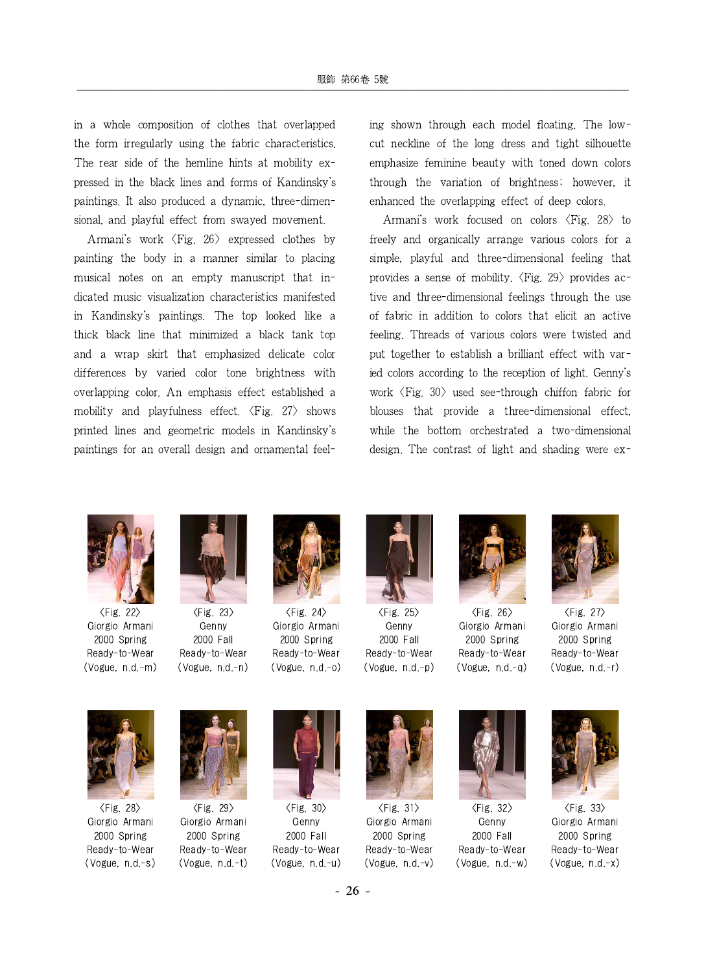in a whole composition of clothes that overlapped the form irregularly using the fabric characteristics. The rear side of the hemline hints at mobility expressed in the black lines and forms of Kandinsky's paintings. It also produced a dynamic, three-dimensional, and playful effect from swayed movement.

Armani's work <Fig. 26> expressed clothes by painting the body in a manner similar to placing musical notes on an empty manuscript that indicated music visualization characteristics manifested in Kandinsky's paintings. The top looked like a thick black line that minimized a black tank top and a wrap skirt that emphasized delicate color differences by varied color tone brightness with overlapping color. An emphasis effect established a mobility and playfulness effect.  $\langle$ Fig. 27 $\rangle$  shows printed lines and geometric models in Kandinsky's paintings for an overall design and ornamental feeling shown through each model floating. The lowcut neckline of the long dress and tight silhouette emphasize feminine beauty with toned down colors through the variation of brightness; however, it enhanced the overlapping effect of deep colors.

Armani's work focused on colors  $\langle$ Fig. 28 $\rangle$  to freely and organically arrange various colors for a simple, playful and three-dimensional feeling that provides a sense of mobility.  $\langle$ Fig. 29 $\rangle$  provides active and three-dimensional feelings through the use of fabric in addition to colors that elicit an active feeling. Threads of various colors were twisted and put together to establish a brilliant effect with varied colors according to the reception of light. Genny's work  $\langle$ Fig. 30 $\rangle$  used see-through chiffon fabric for blouses that provide a three-dimensional effect, while the bottom orchestrated a two-dimensional design. The contrast of light and shading were ex-



<Fig. 22> Giorgio Armani 2000 Spring Ready-to-Wear (Vogue, n.d.-m)



<Fig. 23> Genny 2000 Fall Ready-to-Wear (Vogue, n.d.-n)



<Fig. 24> Giorgio Armani 2000 Spring Ready-to-Wear (Vogue, n.d.-o)



<Fig. 25> Genny 2000 Fall Ready-to-Wear (Vogue, n.d.-p)



<Fig. 26> Giorgio Armani 2000 Spring Ready-to-Wear (Vogue, n.d.-q)



<Fig. 27> Giorgio Armani 2000 Spring Ready-to-Wear (Vogue, n.d.-r)



<Fig. 28> Giorgio Armani 2000 Spring Ready-to-Wear (Vogue, n.d.-s)



<Fig. 29> Giorgio Armani 2000 Spring Ready-to-Wear (Vogue, n.d.-t)



<Fig. 30> Genny 2000 Fall Ready-to-Wear (Vogue, n.d.-u)



 $\langle$ Fig. 31 $\rangle$ Giorgio Armani 2000 Spring Ready-to-Wear (Vogue, n.d.-v)



<Fig. 32> Genny 2000 Fall Ready-to-Wear (Vogue, n.d.-w)



<Fig. 33> Giorgio Armani 2000 Spring Ready-to-Wear (Vogue, n.d.-x)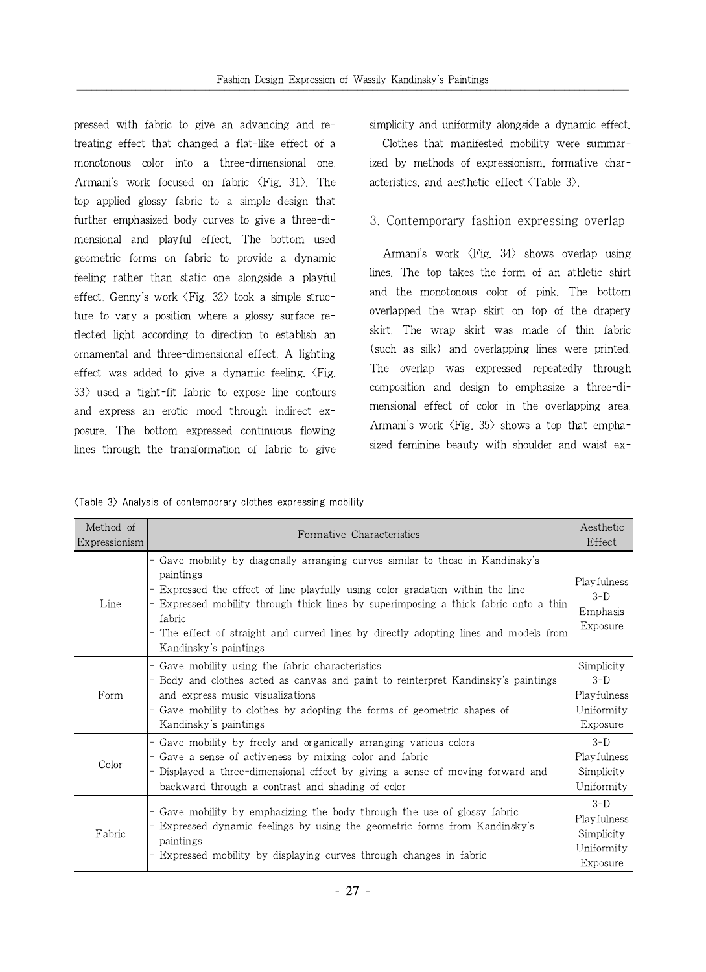pressed with fabric to give an advancing and retreating effect that changed a flat-like effect of a monotonous color into a three-dimensional one. Armani's work focused on fabric  $\langle Fig. 31 \rangle$ . The top applied glossy fabric to a simple design that further emphasized body curves to give a three-dimensional and playful effect. The bottom used geometric forms on fabric to provide a dynamic feeling rather than static one alongside a playful effect. Genny's work  $\langle$ Fig. 32 $\rangle$  took a simple structure to vary a position where a glossy surface reflected light according to direction to establish an ornamental and three-dimensional effect. A lighting effect was added to give a dynamic feeling.  $\langle$ Fig.  $33$  used a tight-fit fabric to expose line contours and express an erotic mood through indirect exposure. The bottom expressed continuous flowing lines through the transformation of fabric to give simplicity and uniformity alongside a dynamic effect.

Clothes that manifested mobility were summarized by methods of expressionism, formative characteristics, and aesthetic effect  $\langle \text{Table 3} \rangle$ .

### 3. Contemporary fashion expressing overlap

Armani's work <Fig. 34> shows overlap using lines. The top takes the form of an athletic shirt and the monotonous color of pink. The bottom overlapped the wrap skirt on top of the drapery skirt. The wrap skirt was made of thin fabric (such as silk) and overlapping lines were printed. The overlap was expressed repeatedly through composition and design to emphasize a three-dimensional effect of color in the overlapping area. Armani's work  $\langle$ Fig. 35 $\rangle$  shows a top that emphasized feminine beauty with shoulder and waist ex-

|  |  |  |  | (Table 3) Analysis of contemporary clothes expressing mobility |  |  |  |
|--|--|--|--|----------------------------------------------------------------|--|--|--|
|--|--|--|--|----------------------------------------------------------------|--|--|--|

| Method of<br>Expressionism | Formative Characteristics                                                                                                                                                                                                                                                                                                                                                                | Aesthetic<br>Effect                                          |
|----------------------------|------------------------------------------------------------------------------------------------------------------------------------------------------------------------------------------------------------------------------------------------------------------------------------------------------------------------------------------------------------------------------------------|--------------------------------------------------------------|
| Line                       | Gave mobility by diagonally arranging curves similar to those in Kandinsky's<br>paintings<br>Expressed the effect of line playfully using color gradation within the line<br>Expressed mobility through thick lines by superimposing a thick fabric onto a thin<br>fabric<br>The effect of straight and curved lines by directly adopting lines and models from<br>Kandinsky's paintings | Playfulness<br>$3-D$<br>Emphasis<br>Exposure                 |
| Form                       | Gave mobility using the fabric characteristics<br>Body and clothes acted as canvas and paint to reinterpret Kandinsky's paintings<br>and express music visualizations<br>Gave mobility to clothes by adopting the forms of geometric shapes of<br>Kandinsky's paintings                                                                                                                  | Simplicity<br>$3-D$<br>Playfulness<br>Uniformity<br>Exposure |
| Color                      | Gave mobility by freely and organically arranging various colors<br>Gave a sense of activeness by mixing color and fabric<br>Displayed a three-dimensional effect by giving a sense of moving forward and<br>backward through a contrast and shading of color                                                                                                                            | $3-D$<br>Playfulness<br>Simplicity<br>Uniformity             |
| Fabric                     | Gave mobility by emphasizing the body through the use of glossy fabric<br>Expressed dynamic feelings by using the geometric forms from Kandinsky's<br>paintings<br>Expressed mobility by displaying curves through changes in fabric                                                                                                                                                     | $3-D$<br>Playfulness<br>Simplicity<br>Uniformity<br>Exposure |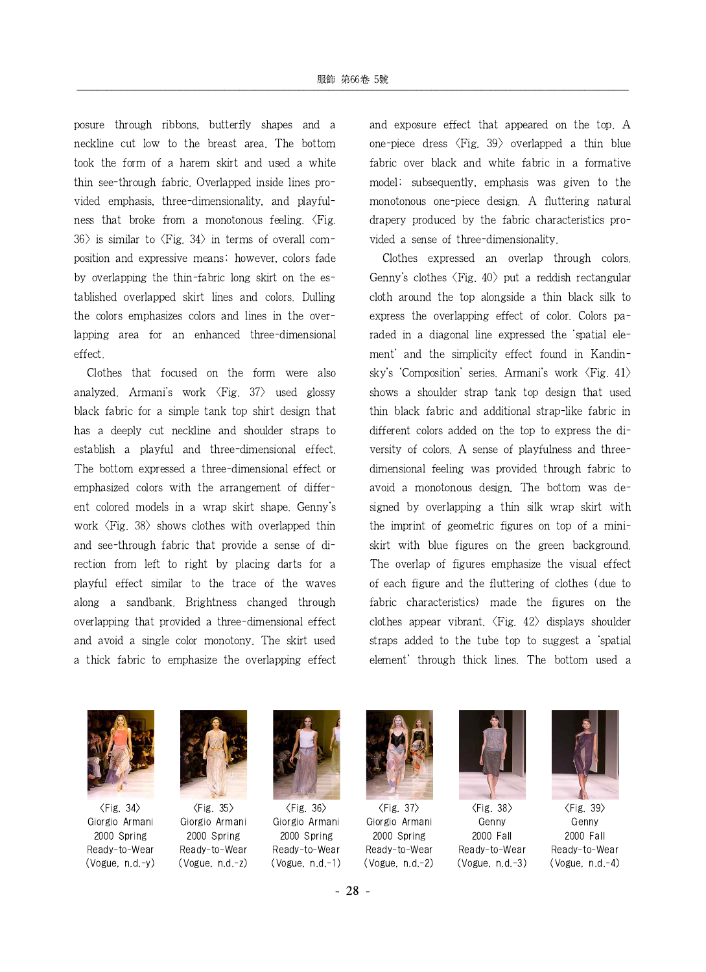posure through ribbons, butterfly shapes and a neckline cut low to the breast area. The bottom took the form of a harem skirt and used a white thin see-through fabric. Overlapped inside lines provided emphasis, three-dimensionality, and playfulness that broke from a monotonous feeling.  $\langle$ Fig.  $36$  is similar to  $\langle$ Fig. 34 $\rangle$  in terms of overall composition and expressive means; however, colors fade by overlapping the thin-fabric long skirt on the established overlapped skirt lines and colors. Dulling the colors emphasizes colors and lines in the overlapping area for an enhanced three-dimensional effect.

Clothes that focused on the form were also analyzed. Armani's work <Fig. 37> used glossy black fabric for a simple tank top shirt design that has a deeply cut neckline and shoulder straps to establish a playful and three-dimensional effect. The bottom expressed a three-dimensional effect or emphasized colors with the arrangement of different colored models in a wrap skirt shape. Genny's work  $\langle$ Fig. 38 $\rangle$  shows clothes with overlapped thin and see-through fabric that provide a sense of direction from left to right by placing darts for a playful effect similar to the trace of the waves along a sandbank. Brightness changed through overlapping that provided a three-dimensional effect and avoid a single color monotony. The skirt used a thick fabric to emphasize the overlapping effect

and exposure effect that appeared on the top. A one-piece dress  $\langle$ Fig. 39 $\rangle$  overlapped a thin blue fabric over black and white fabric in a formative model; subsequently, emphasis was given to the monotonous one-piece design. A fluttering natural drapery produced by the fabric characteristics provided a sense of three-dimensionality.

Clothes expressed an overlap through colors. Genny's clothes  $\langle$ Fig. 40 $\rangle$  put a reddish rectangular cloth around the top alongside a thin black silk to express the overlapping effect of color. Colors paraded in a diagonal line expressed the 'spatial element' and the simplicity effect found in Kandinsky's 'Composition' series. Armani's work <Fig. 41> shows a shoulder strap tank top design that used thin black fabric and additional strap-like fabric in different colors added on the top to express the diversity of colors. A sense of playfulness and threedimensional feeling was provided through fabric to avoid a monotonous design. The bottom was designed by overlapping a thin silk wrap skirt with the imprint of geometric figures on top of a miniskirt with blue figures on the green background. The overlap of figures emphasize the visual effect of each figure and the fluttering of clothes (due to fabric characteristics) made the figures on the clothes appear vibrant.  $\langle$ Fig. 42 $\rangle$  displays shoulder straps added to the tube top to suggest a 'spatial element' through thick lines. The bottom used a



 $\langle$ Fig. 34 $\rangle$ Giorgio Armani 2000 Spring Ready-to-Wear (Vogue, n.d.-y)



 $\langle$ Fig. 35 $\rangle$ Giorgio Armani 2000 Spring Ready-to-Wear (Vogue, n.d.-z)



 $\langle$ Fig. 36 $\rangle$ Giorgio Armani 2000 Spring Ready-to-Wear (Vogue, n.d.-1)



 $\langle$ Fig. 37 $\rangle$ Giorgio Armani 2000 Spring Ready-to-Wear (Vogue, n.d.-2)



<Fig. 38> Genny 2000 Fall Ready-to-Wear (Vogue, n.d.-3)



<Fig. 39> Genny 2000 Fall Ready-to-Wear (Vogue, n.d.-4)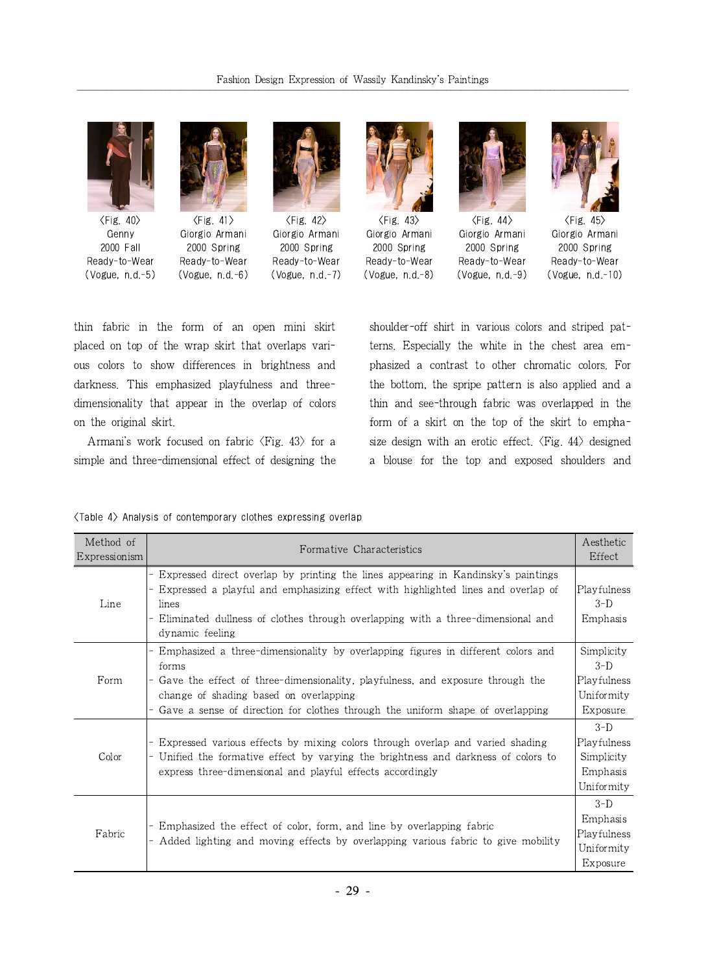

 $\langle$ Fig. 40 $\rangle$ Genny 2000 Fall Ready-to-Wear (Vogue, n.d.-5)



 $\langle$ Fig. 41 $\rangle$ Giorgio Armani 2000 Spring Ready-to-Wear (Vogue, n.d.-6)



 $\langle$ Fig. 42 $\rangle$ Giorgio Armani 2000 Spring Ready-to-Wear (Vogue, n.d.-7)



 $\langle$ Fig. 43 $\rangle$ Giorgio Armani 2000 Spring Ready-to-Wear (Vogue, n.d.-8)



 $\langle$ Fig. 44 $\rangle$ Giorgio Armani 2000 Spring Ready-to-Wear (Vogue, n.d.-9)



 $\langle$ Fig. 45 $\rangle$ Giorgio Armani 2000 Spring Ready-to-Wear (Vogue, n.d.-10)

thin fabric in the form of an open mini skirt placed on top of the wrap skirt that overlaps various colors to show differences in brightness and darkness. This emphasized playfulness and threedimensionality that appear in the overlap of colors on the original skirt.

Armani's work focused on fabric  $\langle$ Fig. 43 $\rangle$  for a simple and three-dimensional effect of designing the

shoulder-off shirt in various colors and striped patterns. Especially the white in the chest area emphasized a contrast to other chromatic colors. For the bottom, the spripe pattern is also applied and a thin and see-through fabric was overlapped in the form of a skirt on the top of the skirt to emphasize design with an erotic effect.  $\langle$ Fig. 44 $\rangle$  designed a blouse for the top and exposed shoulders and

#### <Table 4> Analysis of contemporary clothes expressing overlap

| Method of<br>Expressionism | Formative Characteristics                                                                                                                                                                                                                                                                               | Aesthetic<br>Effect                                          |
|----------------------------|---------------------------------------------------------------------------------------------------------------------------------------------------------------------------------------------------------------------------------------------------------------------------------------------------------|--------------------------------------------------------------|
| Line                       | Expressed direct overlap by printing the lines appearing in Kandinsky's paintings<br>Expressed a playful and emphasizing effect with highlighted lines and overlap of<br>lines<br>Eliminated dullness of clothes through overlapping with a three-dimensional and<br>dynamic feeling                    | Playfulness<br>$3-D$<br>Emphasis                             |
| Form                       | Emphasized a three-dimensionality by overlapping figures in different colors and<br>forms<br>Gave the effect of three-dimensionality, playfulness, and exposure through the<br>change of shading based on overlapping<br>Gave a sense of direction for clothes through the uniform shape of overlapping | Simplicity<br>$3-D$<br>Playfulness<br>Uniformity<br>Exposure |
| Color                      | Expressed various effects by mixing colors through overlap and varied shading<br>Unified the formative effect by varying the brightness and darkness of colors to<br>express three-dimensional and playful effects accordingly                                                                          | $3-D$<br>Playfulness<br>Simplicity<br>Emphasis<br>Uniformity |
| Fabric                     | Emphasized the effect of color, form, and line by overlapping fabric<br>Added lighting and moving effects by overlapping various fabric to give mobility                                                                                                                                                | $3-D$<br>Emphasis<br>Playfulness<br>Uniformity<br>Exposure   |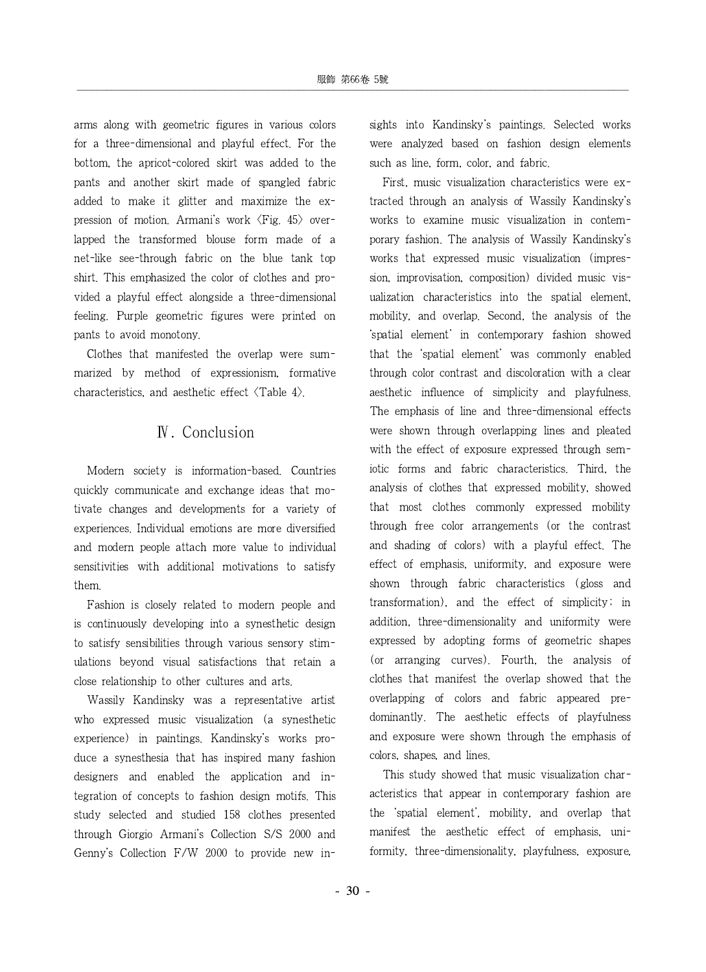arms along with geometric figures in various colors for a three-dimensional and playful effect. For the bottom, the apricot-colored skirt was added to the pants and another skirt made of spangled fabric added to make it glitter and maximize the expression of motion. Armani's work  $\langle$ Fig. 45 $\rangle$  overlapped the transformed blouse form made of a net-like see-through fabric on the blue tank top shirt. This emphasized the color of clothes and provided a playful effect alongside a three-dimensional feeling. Purple geometric figures were printed on pants to avoid monotony.

Clothes that manifested the overlap were summarized by method of expressionism, formative characteristics, and aesthetic effect <Table 4>.

## Ⅳ. Conclusion

Modern society is information-based. Countries quickly communicate and exchange ideas that motivate changes and developments for a variety of experiences. Individual emotions are more diversified and modern people attach more value to individual sensitivities with additional motivations to satisfy them.

Fashion is closely related to modern people and is continuously developing into a synesthetic design to satisfy sensibilities through various sensory stimulations beyond visual satisfactions that retain a close relationship to other cultures and arts.

Wassily Kandinsky was a representative artist who expressed music visualization (a synesthetic experience) in paintings. Kandinsky's works produce a synesthesia that has inspired many fashion designers and enabled the application and integration of concepts to fashion design motifs. This study selected and studied 158 clothes presented through Giorgio Armani's Collection S/S 2000 and Genny's Collection F/W 2000 to provide new insights into Kandinsky's paintings. Selected works were analyzed based on fashion design elements such as line, form, color, and fabric.

First, music visualization characteristics were extracted through an analysis of Wassily Kandinsky's works to examine music visualization in contemporary fashion. The analysis of Wassily Kandinsky's works that expressed music visualization (impression, improvisation, composition) divided music visualization characteristics into the spatial element, mobility, and overlap. Second, the analysis of the 'spatial element' in contemporary fashion showed that the 'spatial element' was commonly enabled through color contrast and discoloration with a clear aesthetic influence of simplicity and playfulness. The emphasis of line and three-dimensional effects were shown through overlapping lines and pleated with the effect of exposure expressed through semiotic forms and fabric characteristics. Third, the analysis of clothes that expressed mobility, showed that most clothes commonly expressed mobility through free color arrangements (or the contrast and shading of colors) with a playful effect. The effect of emphasis, uniformity, and exposure were shown through fabric characteristics (gloss and transformation), and the effect of simplicity; in addition, three-dimensionality and uniformity were expressed by adopting forms of geometric shapes (or arranging curves). Fourth, the analysis of clothes that manifest the overlap showed that the overlapping of colors and fabric appeared predominantly. The aesthetic effects of playfulness and exposure were shown through the emphasis of colors, shapes, and lines.

This study showed that music visualization characteristics that appear in contemporary fashion are the 'spatial element', mobility, and overlap that manifest the aesthetic effect of emphasis, uniformity, three-dimensionality, playfulness, exposure,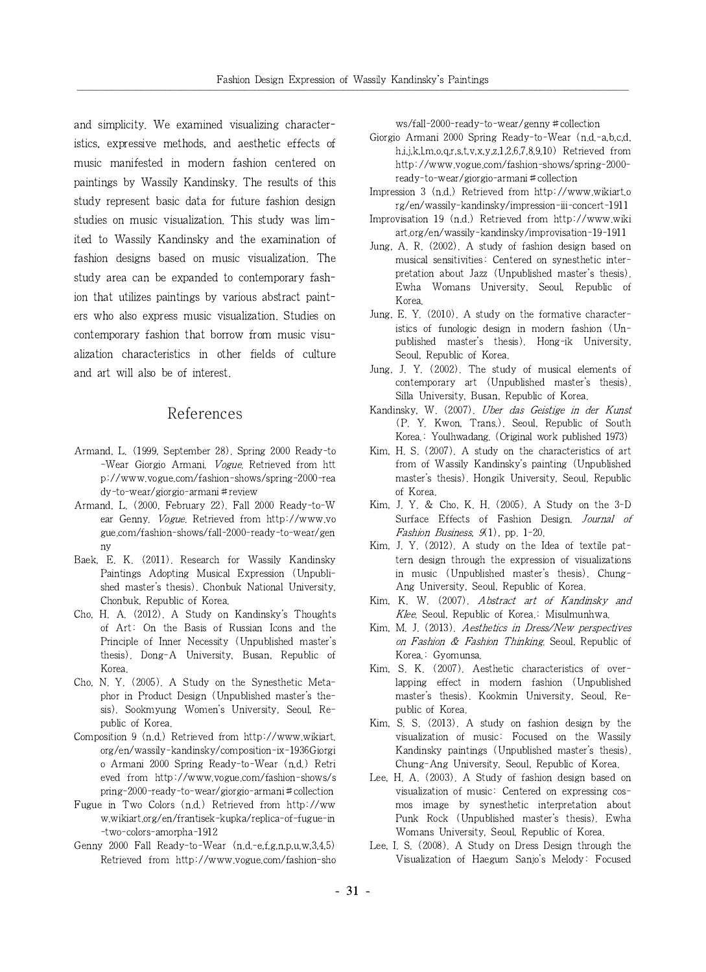and simplicity. We examined visualizing characteristics, expressive methods, and aesthetic effects of music manifested in modern fashion centered on paintings by Wassily Kandinsky. The results of this study represent basic data for future fashion design studies on music visualization. This study was limited to Wassily Kandinsky and the examination of fashion designs based on music visualization. The study area can be expanded to contemporary fashion that utilizes paintings by various abstract painters who also express music visualization. Studies on contemporary fashion that borrow from music visualization characteristics in other fields of culture and art will also be of interest.

### References

- Armand, L. (1999, September 28). Spring 2000 Ready-to -Wear Giorgio Armani. Vogue. Retrieved from htt p://www.vogue.com/fashion-shows/spring-2000-rea dy-to-wear/giorgio-armani#review
- Armand, L. (2000, February 22). Fall 2000 Ready-to-W ear Genny. Vogue. Retrieved from http://www.vo gue.com/fashion-shows/fall-2000-ready-to-wear/gen ny
- Baek, E. K. (2011). Research for Wassily Kandinsky Paintings Adopting Musical Expression (Unpublished master's thesis). Chonbuk National University, Chonbuk, Republic of Korea.
- Cho, H. A. (2012). A Study on Kandinsky's Thoughts of Art: On the Basis of Russian Icons and the Principle of Inner Necessity (Unpublished master's thesis). Dong-A University, Busan, Republic of Korea.
- Cho, N. Y. (2005). A Study on the Synesthetic Metaphor in Product Design (Unpublished master's thesis). Sookmyung Women's University, Seoul, Republic of Korea.
- Composition 9 (n.d.) Retrieved from http://www.wikiart. org/en/wassily-kandinsky/composition-ix-1936Giorgi o Armani 2000 Spring Ready-to-Wear (n.d.) Retri eved from http://www.vogue.com/fashion-shows/s pring-2000-ready-to-wear/giorgio-armani#collection
- Fugue in Two Colors (n.d.) Retrieved from http://ww w.wikiart.org/en/frantisek-kupka/replica-of-fugue-in -two-colors-amorpha-1912
- Genny 2000 Fall Ready-to-Wear (n.d.-e,f,g,n,p,u,w,3,4,5) Retrieved from http://www.vogue.com/fashion-sho

ws/fall-2000-ready-to-wear/genny#collection

- Giorgio Armani 2000 Spring Ready-to-Wear (n.d.-a,b,c,d, h,i,j,k,l,m,o,q,r,s,t,v,x,y,z,1,2,6,7,8,9,10) Retrieved from http://www.vogue.com/fashion-shows/spring-2000 ready-to-wear/giorgio-armani#collection
- Impression 3 (n.d.) Retrieved from http://www.wikiart.o rg/en/wassily-kandinsky/impression-iii-concert-1911
- Improvisation 19 (n.d.) Retrieved from http://www.wiki art.org/en/wassily-kandinsky/improvisation-19-1911
- Jung, A. R. (2002). A study of fashion design based on musical sensitivities: Centered on synesthetic interpretation about Jazz (Unpublished master's thesis). Ewha Womans University, Seoul, Republic of Korea.
- Jung, E. Y. (2010). A study on the formative characteristics of funologic design in modern fashion (Unpublished master's thesis). Hong-ik University, Seoul, Republic of Korea.
- Jung, J. Y. (2002). The study of musical elements of contemporary art (Unpublished master's thesis). Silla University, Busan, Republic of Korea.
- Kandinsky, W. (2007). Uber das Geistige in der Kunst (P. Y. Kwon, Trans.). Seoul, Republic of South Korea.: Youlhwadang. (Original work published 1973)
- Kim, H. S. (2007). A study on the characteristics of art from of Wassily Kandinsky's painting (Unpublished master's thesis). Hongik University, Seoul, Republic of Korea.
- Kim, J. Y. & Cho, K. H. (2005). A Study on the 3-D Surface Effects of Fashion Design. Journal of Fashion Business, 9(1), pp. 1-20.
- Kim, J. Y. (2012). A study on the Idea of textile pattern design through the expression of visualizations in music (Unpublished master's thesis). Chung-Ang University, Seoul, Republic of Korea.
- Kim, K. W. (2007). Abstract art of Kandinsky and Klee. Seoul, Republic of Korea. Misulmunhwa.
- Kim, M. J. (2013). Aesthetics in Dress/New perspectives on Fashion & Fashion Thinking. Seoul, Republic of Korea.: Gyomunsa.
- Kim, S. K. (2007). Aesthetic characteristics of overlapping effect in modern fashion (Unpublished master's thesis). Kookmin University, Seoul, Republic of Korea.
- Kim, S. S. (2013). A study on fashion design by the visualization of music: Focused on the Wassily Kandinsky paintings (Unpublished master's thesis). Chung-Ang University, Seoul, Republic of Korea.
- Lee, H. A. (2003). A Study of fashion design based on visualization of music: Centered on expressing cosmos image by synesthetic interpretation about Punk Rock (Unpublished master's thesis). Ewha Womans University, Seoul, Republic of Korea.
- Lee, I. S. (2008). A Study on Dress Design through the Visualization of Haegum Sanjo's Melody: Focused